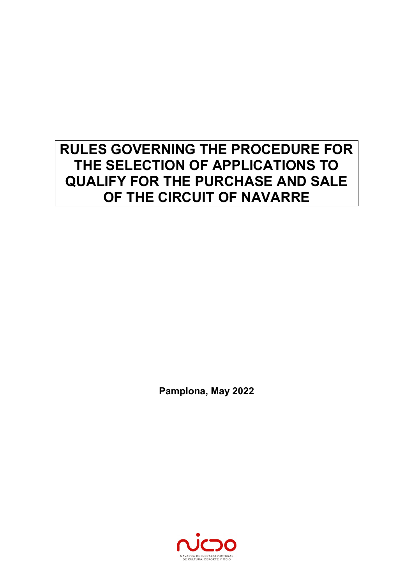# **RULES GOVERNING THE PROCEDURE FOR THE SELECTION OF APPLICATIONS TO QUALIFY FOR THE PURCHASE AND SALE OF THE CIRCUIT OF NAVARRE**

**Pamplona, May 2022** 

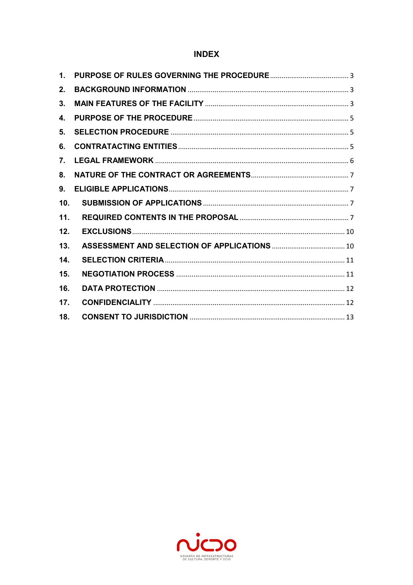### **INDEX**

| $\mathbf{1}$ .  |  |
|-----------------|--|
| 2.              |  |
| 3.              |  |
| 4.              |  |
| 5 <sub>1</sub>  |  |
| 6.              |  |
| 7.              |  |
| 8.              |  |
| 9.              |  |
| 10 <sub>1</sub> |  |
| 11.             |  |
| 12.             |  |
| 13.             |  |
| 14.             |  |
| 15.             |  |
| 16.             |  |
| 17.             |  |
| 18.             |  |

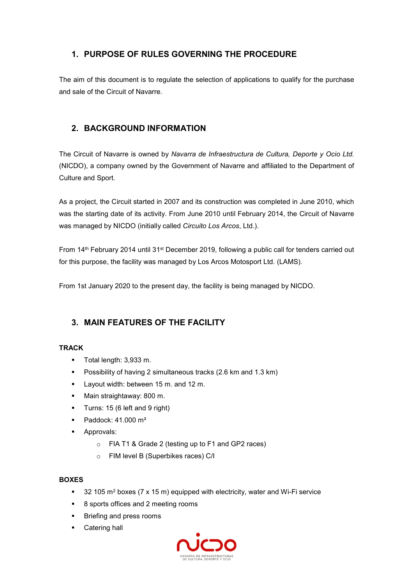## **1. PURPOSE OF RULES GOVERNING THE PROCEDURE**

The aim of this document is to regulate the selection of applications to qualify for the purchase and sale of the Circuit of Navarre.

### **2. BACKGROUND INFORMATION**

The Circuit of Navarre is owned by *Navarra de Infraestructura de Cultura, Deporte y Ocio Ltd.* (NICDO), a company owned by the Government of Navarre and affiliated to the Department of Culture and Sport.

As a project, the Circuit started in 2007 and its construction was completed in June 2010, which was the starting date of its activity. From June 2010 until February 2014, the Circuit of Navarre was managed by NICDO (initially called *Circuito Los Arcos*, Ltd.).

From 14<sup>th</sup> February 2014 until 31<sup>st</sup> December 2019, following a public call for tenders carried out for this purpose, the facility was managed by Los Arcos Motosport Ltd. (LAMS).

From 1st January 2020 to the present day, the facility is being managed by NICDO.

### **3. MAIN FEATURES OF THE FACILITY**

#### **TRACK**

- Total length: 3,933 m.
- **Possibility of having 2 simultaneous tracks (2.6 km and 1.3 km)**
- **Layout width: between 15 m. and 12 m.**
- Main straightaway: 800 m.
- **Turns: 15 (6 left and 9 right)**
- $\blacksquare$  Paddock: 41.000 m<sup>2</sup>
- **Approvals:** 
	- o FIA T1 & Grade 2 (testing up to F1 and GP2 races)
	- o FIM level B (Superbikes races) C/I

#### **BOXES**

- $\sim$  32 105 m<sup>2</sup> boxes (7 x 15 m) equipped with electricity, water and Wi-Fi service
- 8 sports offices and 2 meeting rooms
- **Briefing and press rooms**
- **Catering hall**

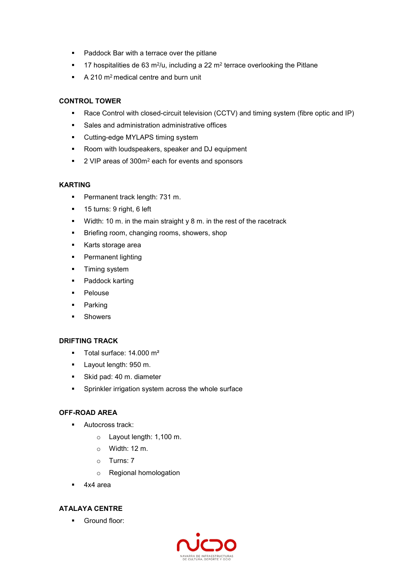- Paddock Bar with a terrace over the pitlane
- $\blacksquare$  17 hospitalities de 63 m<sup>2</sup>/u, including a 22 m<sup>2</sup> terrace overlooking the Pitlane
- $\blacksquare$  A 210 m<sup>2</sup> medical centre and burn unit

#### **CONTROL TOWER**

- Race Control with closed-circuit television (CCTV) and timing system (fibre optic and IP)
- Sales and administration administrative offices
- **•** Cutting-edge MYLAPS timing system
- **Room with loudspeakers, speaker and DJ equipment**
- 2 VIP areas of 300m<sup>2</sup> each for events and sponsors

#### **KARTING**

- **Permanent track length: 731 m.**
- 15 turns: 9 right, 6 left
- Width: 10 m. in the main straight y 8 m. in the rest of the racetrack
- **Briefing room, changing rooms, showers, shop**
- **Karts storage area**
- **•** Permanent lighting
- **Timing system**
- Paddock karting
- **Pelouse**
- **-** Parking
- **Showers**

#### **DRIFTING TRACK**

- Total surface: 14.000 m<sup>2</sup>
- **Layout length: 950 m.**
- Skid pad: 40 m. diameter
- **Sprinkler irrigation system across the whole surface**

#### **OFF-ROAD AREA**

- **Autocross track:** 
	- o Layout length: 1,100 m.
	- $\circ$  Width: 12 m.
	- o Turns: 7
	- o Regional homologation
- 4x4 area

### **ATALAYA CENTRE**

**Ground floor:** 

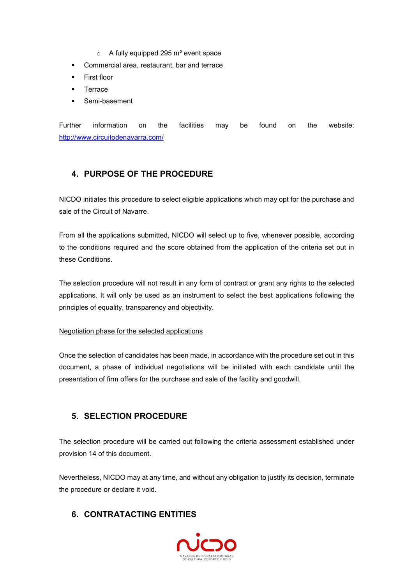- $\circ$  A fully equipped 295 m<sup>2</sup> event space
- **Commercial area, restaurant, bar and terrace**
- **First floor**
- **Terrace**
- Semi-basement

Further information on the facilities may be found on the website: http://www.circuitodenavarra.com/

### **4. PURPOSE OF THE PROCEDURE**

NICDO initiates this procedure to select eligible applications which may opt for the purchase and sale of the Circuit of Navarre.

From all the applications submitted, NICDO will select up to five, whenever possible, according to the conditions required and the score obtained from the application of the criteria set out in these Conditions.

The selection procedure will not result in any form of contract or grant any rights to the selected applications. It will only be used as an instrument to select the best applications following the principles of equality, transparency and objectivity.

#### Negotiation phase for the selected applications

Once the selection of candidates has been made, in accordance with the procedure set out in this document, a phase of individual negotiations will be initiated with each candidate until the presentation of firm offers for the purchase and sale of the facility and goodwill.

### **5. SELECTION PROCEDURE**

The selection procedure will be carried out following the criteria assessment established under provision 14 of this document.

Nevertheless, NICDO may at any time, and without any obligation to justify its decision, terminate the procedure or declare it void.

### **6. CONTRATACTING ENTITIES**

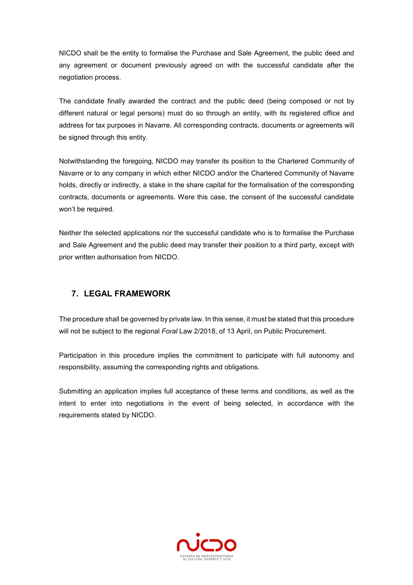NICDO shall be the entity to formalise the Purchase and Sale Agreement, the public deed and any agreement or document previously agreed on with the successful candidate after the negotiation process.

The candidate finally awarded the contract and the public deed (being composed or not by different natural or legal persons) must do so through an entity, with its registered office and address for tax purposes in Navarre. All corresponding contracts, documents or agreements will be signed through this entity.

Notwithstanding the foregoing, NICDO may transfer its position to the Chartered Community of Navarre or to any company in which either NICDO and/or the Chartered Community of Navarre holds, directly or indirectly, a stake in the share capital for the formalisation of the corresponding contracts, documents or agreements. Were this case, the consent of the successful candidate won't be required.

Neither the selected applications nor the successful candidate who is to formalise the Purchase and Sale Agreement and the public deed may transfer their position to a third party, except with prior written authorisation from NICDO.

### **7. LEGAL FRAMEWORK**

The procedure shall be governed by private law. In this sense, it must be stated that this procedure will not be subject to the regional *Foral* Law 2/2018, of 13 April, on Public Procurement.

Participation in this procedure implies the commitment to participate with full autonomy and responsibility, assuming the corresponding rights and obligations.

Submitting an application implies full acceptance of these terms and conditions, as well as the intent to enter into negotiations in the event of being selected, in accordance with the requirements stated by NICDO.

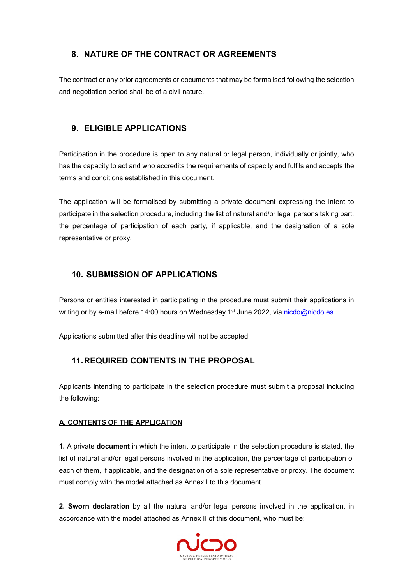### **8. NATURE OF THE CONTRACT OR AGREEMENTS**

The contract or any prior agreements or documents that may be formalised following the selection and negotiation period shall be of a civil nature.

### **9. ELIGIBLE APPLICATIONS**

Participation in the procedure is open to any natural or legal person, individually or jointly, who has the capacity to act and who accredits the requirements of capacity and fulfils and accepts the terms and conditions established in this document.

The application will be formalised by submitting a private document expressing the intent to participate in the selection procedure, including the list of natural and/or legal persons taking part, the percentage of participation of each party, if applicable, and the designation of a sole representative or proxy.

### **10. SUBMISSION OF APPLICATIONS**

Persons or entities interested in participating in the procedure must submit their applications in writing or by e-mail before 14:00 hours on Wednesday 1<sup>st</sup> June 2022, via nicdo@nicdo.es.

Applications submitted after this deadline will not be accepted.

### **11. REQUIRED CONTENTS IN THE PROPOSAL**

Applicants intending to participate in the selection procedure must submit a proposal including the following:

#### **A. CONTENTS OF THE APPLICATION**

**1.** A private **document** in which the intent to participate in the selection procedure is stated, the list of natural and/or legal persons involved in the application, the percentage of participation of each of them, if applicable, and the designation of a sole representative or proxy. The document must comply with the model attached as Annex I to this document.

**2. Sworn declaration** by all the natural and/or legal persons involved in the application, in accordance with the model attached as Annex II of this document, who must be:

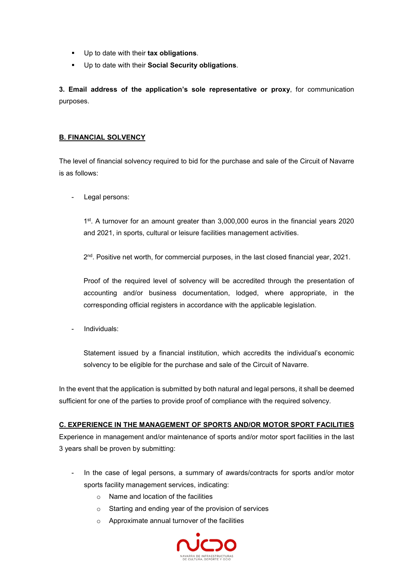- Up to date with their **tax obligations**.
- Up to date with their **Social Security obligations**.

**3. Email address of the application's sole representative or proxy**, for communication purposes.

#### **B. FINANCIAL SOLVENCY**

The level of financial solvency required to bid for the purchase and sale of the Circuit of Navarre is as follows:

Legal persons:

1 st. A turnover for an amount greater than 3,000,000 euros in the financial years 2020 and 2021, in sports, cultural or leisure facilities management activities.

2 nd. Positive net worth, for commercial purposes, in the last closed financial year, 2021.

Proof of the required level of solvency will be accredited through the presentation of accounting and/or business documentation, lodged, where appropriate, in the corresponding official registers in accordance with the applicable legislation.

- Individuals:

Statement issued by a financial institution, which accredits the individual's economic solvency to be eligible for the purchase and sale of the Circuit of Navarre.

In the event that the application is submitted by both natural and legal persons, it shall be deemed sufficient for one of the parties to provide proof of compliance with the required solvency.

#### **C. EXPERIENCE IN THE MANAGEMENT OF SPORTS AND/OR MOTOR SPORT FACILITIES**

Experience in management and/or maintenance of sports and/or motor sport facilities in the last 3 years shall be proven by submitting:

- In the case of legal persons, a summary of awards/contracts for sports and/or motor sports facility management services, indicating:
	- o Name and location of the facilities
	- o Starting and ending year of the provision of services
	- o Approximate annual turnover of the facilities

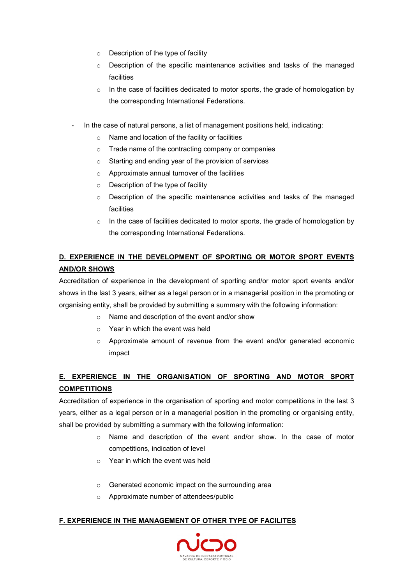- o Description of the type of facility
- o Description of the specific maintenance activities and tasks of the managed facilities
- $\circ$  In the case of facilities dedicated to motor sports, the grade of homologation by the corresponding International Federations.
- In the case of natural persons, a list of management positions held, indicating:
	- o Name and location of the facility or facilities
	- o Trade name of the contracting company or companies
	- o Starting and ending year of the provision of services
	- o Approximate annual turnover of the facilities
	- $\circ$  Description of the type of facility
	- $\circ$  Description of the specific maintenance activities and tasks of the managed facilities
	- $\circ$  In the case of facilities dedicated to motor sports, the grade of homologation by the corresponding International Federations.

### **D. EXPERIENCE IN THE DEVELOPMENT OF SPORTING OR MOTOR SPORT EVENTS AND/OR SHOWS**

Accreditation of experience in the development of sporting and/or motor sport events and/or shows in the last 3 years, either as a legal person or in a managerial position in the promoting or organising entity, shall be provided by submitting a summary with the following information:

- o Name and description of the event and/or show
- o Year in which the event was held
- $\circ$  Approximate amount of revenue from the event and/or generated economic impact

### **E. EXPERIENCE IN THE ORGANISATION OF SPORTING AND MOTOR SPORT COMPETITIONS**

Accreditation of experience in the organisation of sporting and motor competitions in the last 3 years, either as a legal person or in a managerial position in the promoting or organising entity, shall be provided by submitting a summary with the following information:

- o Name and description of the event and/or show. In the case of motor competitions, indication of level
- $\circ$  Year in which the event was held
- o Generated economic impact on the surrounding area
- o Approximate number of attendees/public

#### **F. EXPERIENCE IN THE MANAGEMENT OF OTHER TYPE OF FACILITES**

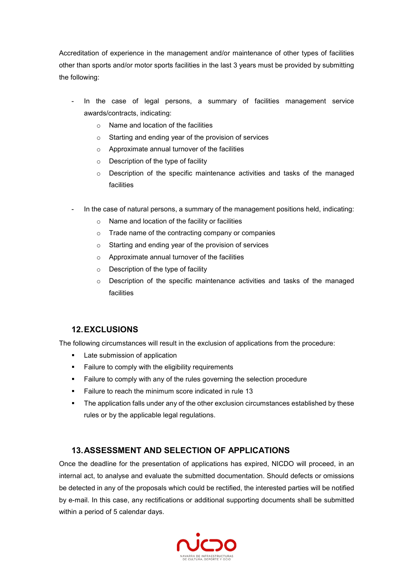Accreditation of experience in the management and/or maintenance of other types of facilities other than sports and/or motor sports facilities in the last 3 years must be provided by submitting the following:

- In the case of legal persons, a summary of facilities management service awards/contracts, indicating:
	- o Name and location of the facilities
	- o Starting and ending year of the provision of services
	- o Approximate annual turnover of the facilities
	- o Description of the type of facility
	- $\circ$  Description of the specific maintenance activities and tasks of the managed facilities
- In the case of natural persons, a summary of the management positions held, indicating:
	- o Name and location of the facility or facilities
	- o Trade name of the contracting company or companies
	- o Starting and ending year of the provision of services
	- o Approximate annual turnover of the facilities
	- o Description of the type of facility
	- $\circ$  Description of the specific maintenance activities and tasks of the managed facilities

### **12. EXCLUSIONS**

The following circumstances will result in the exclusion of applications from the procedure:

- **Late submission of application**
- **Failure to comply with the eligibility requirements**
- **Failure to comply with any of the rules governing the selection procedure**
- Failure to reach the minimum score indicated in rule 13
- **The application falls under any of the other exclusion circumstances established by these** rules or by the applicable legal regulations.

### **13. ASSESSMENT AND SELECTION OF APPLICATIONS**

Once the deadline for the presentation of applications has expired, NICDO will proceed, in an internal act, to analyse and evaluate the submitted documentation. Should defects or omissions be detected in any of the proposals which could be rectified, the interested parties will be notified by e-mail. In this case, any rectifications or additional supporting documents shall be submitted within a period of 5 calendar days.

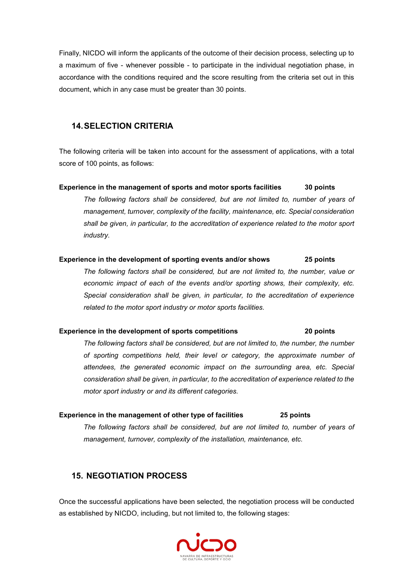Finally, NICDO will inform the applicants of the outcome of their decision process, selecting up to a maximum of five - whenever possible - to participate in the individual negotiation phase, in accordance with the conditions required and the score resulting from the criteria set out in this document, which in any case must be greater than 30 points.

### **14. SELECTION CRITERIA**

The following criteria will be taken into account for the assessment of applications, with a total score of 100 points, as follows:

**Experience in the management of sports and motor sports facilities 30 points** 

*The following factors shall be considered, but are not limited to, number of years of management, turnover, complexity of the facility, maintenance, etc. Special consideration shall be given, in particular, to the accreditation of experience related to the motor sport industry.* 

#### **Experience in the development of sporting events and/or shows 25 points**

*The following factors shall be considered, but are not limited to, the number, value or economic impact of each of the events and/or sporting shows, their complexity, etc. Special consideration shall be given, in particular, to the accreditation of experience related to the motor sport industry or motor sports facilities.* 

#### **Experience in the development of sports competitions 20 points**

*The following factors shall be considered, but are not limited to, the number, the number of sporting competitions held, their level or category, the approximate number of attendees, the generated economic impact on the surrounding area, etc. Special consideration shall be given, in particular, to the accreditation of experience related to the motor sport industry or and its different categories.* 

#### **Experience in the management of other type of facilities 25 points**

*The following factors shall be considered, but are not limited to, number of years of management, turnover, complexity of the installation, maintenance, etc.* 

### **15. NEGOTIATION PROCESS**

Once the successful applications have been selected, the negotiation process will be conducted as established by NICDO, including, but not limited to, the following stages:

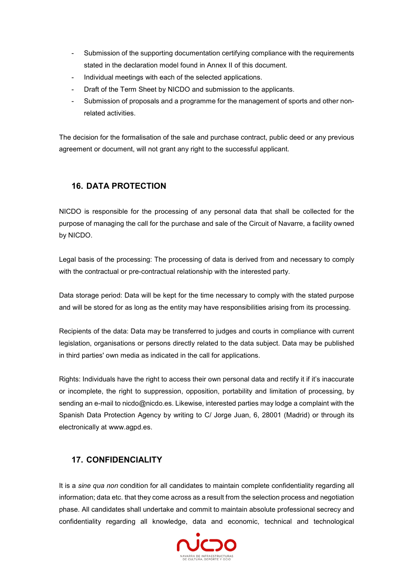- Submission of the supporting documentation certifying compliance with the requirements stated in the declaration model found in Annex II of this document.
- Individual meetings with each of the selected applications.
- Draft of the Term Sheet by NICDO and submission to the applicants.
- Submission of proposals and a programme for the management of sports and other nonrelated activities.

The decision for the formalisation of the sale and purchase contract, public deed or any previous agreement or document, will not grant any right to the successful applicant.

### **16. DATA PROTECTION**

NICDO is responsible for the processing of any personal data that shall be collected for the purpose of managing the call for the purchase and sale of the Circuit of Navarre, a facility owned by NICDO.

Legal basis of the processing: The processing of data is derived from and necessary to comply with the contractual or pre-contractual relationship with the interested party.

Data storage period: Data will be kept for the time necessary to comply with the stated purpose and will be stored for as long as the entity may have responsibilities arising from its processing.

Recipients of the data: Data may be transferred to judges and courts in compliance with current legislation, organisations or persons directly related to the data subject. Data may be published in third parties' own media as indicated in the call for applications.

Rights: Individuals have the right to access their own personal data and rectify it if it's inaccurate or incomplete, the right to suppression, opposition, portability and limitation of processing, by sending an e-mail to nicdo@nicdo.es. Likewise, interested parties may lodge a complaint with the Spanish Data Protection Agency by writing to C/ Jorge Juan, 6, 28001 (Madrid) or through its electronically at www.agpd.es.

### **17. CONFIDENCIALITY**

It is a *sine qua non* condition for all candidates to maintain complete confidentiality regarding all information; data etc. that they come across as a result from the selection process and negotiation phase. All candidates shall undertake and commit to maintain absolute professional secrecy and confidentiality regarding all knowledge, data and economic, technical and technological

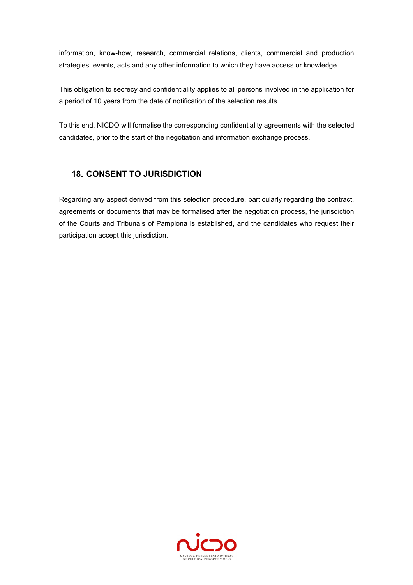information, know-how, research, commercial relations, clients, commercial and production strategies, events, acts and any other information to which they have access or knowledge.

This obligation to secrecy and confidentiality applies to all persons involved in the application for a period of 10 years from the date of notification of the selection results.

To this end, NICDO will formalise the corresponding confidentiality agreements with the selected candidates, prior to the start of the negotiation and information exchange process.

### **18. CONSENT TO JURISDICTION**

Regarding any aspect derived from this selection procedure, particularly regarding the contract, agreements or documents that may be formalised after the negotiation process, the jurisdiction of the Courts and Tribunals of Pamplona is established, and the candidates who request their participation accept this jurisdiction.

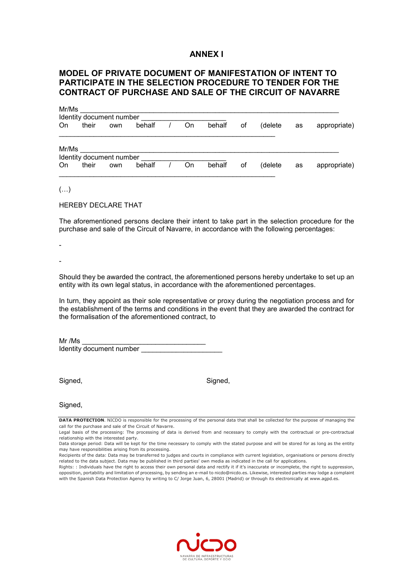#### **ANNEX I**

### **MODEL OF PRIVATE DOCUMENT OF MANIFESTATION OF INTENT TO PARTICIPATE IN THE SELECTION PROCEDURE TO TENDER FOR THE CONTRACT OF PURCHASE AND SALE OF THE CIRCUIT OF NAVARRE**

| Mr/Ms |                          |                          |        |  |    |        |    |         |    |              |
|-------|--------------------------|--------------------------|--------|--|----|--------|----|---------|----|--------------|
|       | Identity document number |                          |        |  |    |        |    |         |    |              |
| On    | their                    | own                      | behalf |  | On | behalf | οf | (delete | as | appropriate) |
| Mr/Ms |                          |                          |        |  |    |        |    |         |    |              |
|       |                          | Identity document number |        |  |    |        |    |         |    |              |
| On    | their                    | own                      | behalf |  | On | behalf | οf | (delete | as | appropriate) |

 $(\ldots)$ 

HEREBY DECLARE THAT

The aforementioned persons declare their intent to take part in the selection procedure for the purchase and sale of the Circuit of Navarre, in accordance with the following percentages:

- -

Should they be awarded the contract, the aforementioned persons hereby undertake to set up an entity with its own legal status, in accordance with the aforementioned percentages.

In turn, they appoint as their sole representative or proxy during the negotiation process and for the establishment of the terms and conditions in the event that they are awarded the contract for the formalisation of the aforementioned contract, to

 $Mr/Ms$ Identity document number

Signed, Signed, Signed, Signed, Signed, Signed, Signed, Signed, Signed, Signed, Signed, Signed, Signed, Signed, Signed, Signed, Signed, Signed, Signed, Signed, Signed, Signed, Signed, Signed, Signed, Signed, Signed, Signed

Signed,

**DATA PROTECTION**. NICDO is responsible for the processing of the personal data that shall be collected for the purpose of managing the call for the purchase and sale of the Circuit of Navarre.



Legal basis of the processing: The processing of data is derived from and necessary to comply with the contractual or pre-contractual relationship with the interested party.

Data storage period: Data will be kept for the time necessary to comply with the stated purpose and will be stored for as long as the entity may have responsibilities arising from its processing.

Recipients of the data: Data may be transferred to judges and courts in compliance with current legislation, organisations or persons directly related to the data subject. Data may be published in third parties' own media as indicated in the call for applications.

Rights: : Individuals have the right to access their own personal data and rectify it if it's inaccurate or incomplete, the right to suppression, opposition, portability and limitation of processing, by sending an e-mail to nicdo@nicdo.es. Likewise, interested parties may lodge a complaint with the Spanish Data Protection Agency by writing to C/ Jorge Juan, 6, 28001 (Madrid) or through its electronically at www.agpd.es.